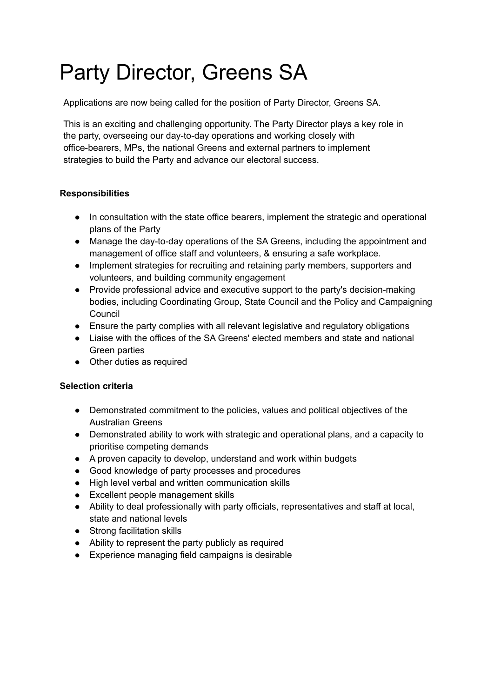# Party Director, Greens SA

Applications are now being called for the position of Party Director, Greens SA.

This is an exciting and challenging opportunity. The Party Director plays a key role in the party, overseeing our day-to-day operations and working closely with office-bearers, MPs, the national Greens and external partners to implement strategies to build the Party and advance our electoral success.

## **Responsibilities**

- In consultation with the state office bearers, implement the strategic and operational plans of the Party
- Manage the day-to-day operations of the SA Greens, including the appointment and management of office staff and volunteers, & ensuring a safe workplace.
- Implement strategies for recruiting and retaining party members, supporters and volunteers, and building community engagement
- Provide professional advice and executive support to the party's decision-making bodies, including Coordinating Group, State Council and the Policy and Campaigning Council
- Ensure the party complies with all relevant legislative and regulatory obligations
- Liaise with the offices of the SA Greens' elected members and state and national Green parties
- Other duties as required

### **Selection criteria**

- Demonstrated commitment to the policies, values and political objectives of the Australian Greens
- Demonstrated ability to work with strategic and operational plans, and a capacity to prioritise competing demands
- A proven capacity to develop, understand and work within budgets
- Good knowledge of party processes and procedures
- High level verbal and written communication skills
- Excellent people management skills
- Ability to deal professionally with party officials, representatives and staff at local, state and national levels
- Strong facilitation skills
- Ability to represent the party publicly as required
- Experience managing field campaigns is desirable